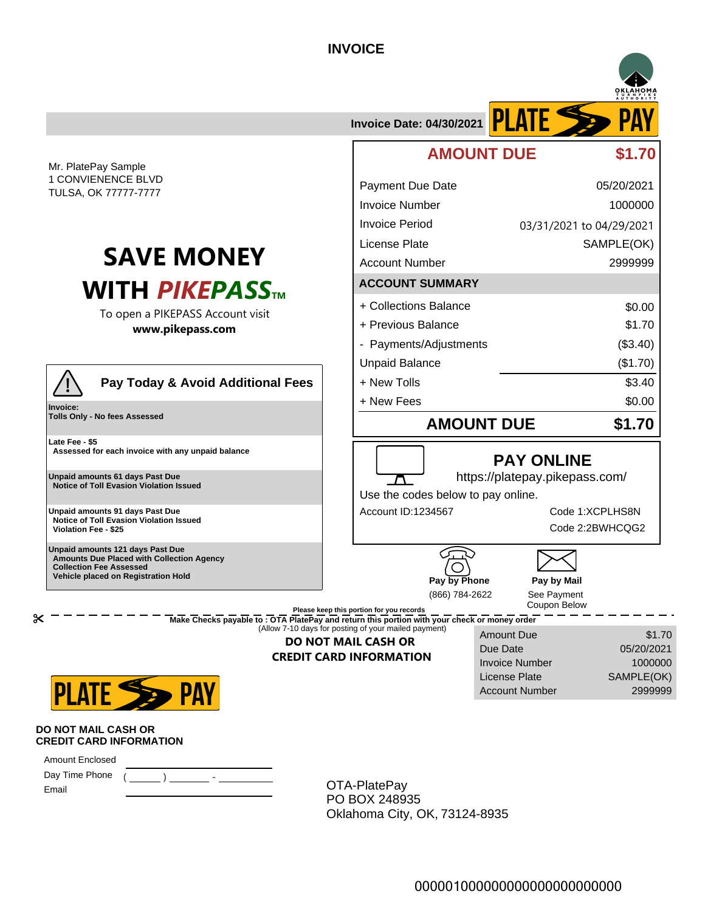## **INVOICE**



 **Collection Fee Assessed Vehicle placed on Registration Hold**

| Pay by Phone   |
|----------------|
| (866) 784-2622 |

Due Date Invoice Number License Plate

See Payment Coupon Below **Pay by Mail** 

Account Number 2999999

\$1.70 05/20/2021 1000000 SAMPLE(OK)

**Please keep this portion for you records**

**Make Checks payable to : OTA PlatePay and return this portion with your check or money order** (Allow 7-10 days for posting of your mailed payment) Amount Due

## **DO NOT MAIL CASH OR CREDIT CARD INFORMATION**



**DO NOT MAIL CASH OR CREDIT CARD INFORMATION**

Amount Enclosed

 $\propto$ 

Day Time Phone Email

OTA-PlatePay PO BOX 248935 Oklahoma City, OK, 73124-8935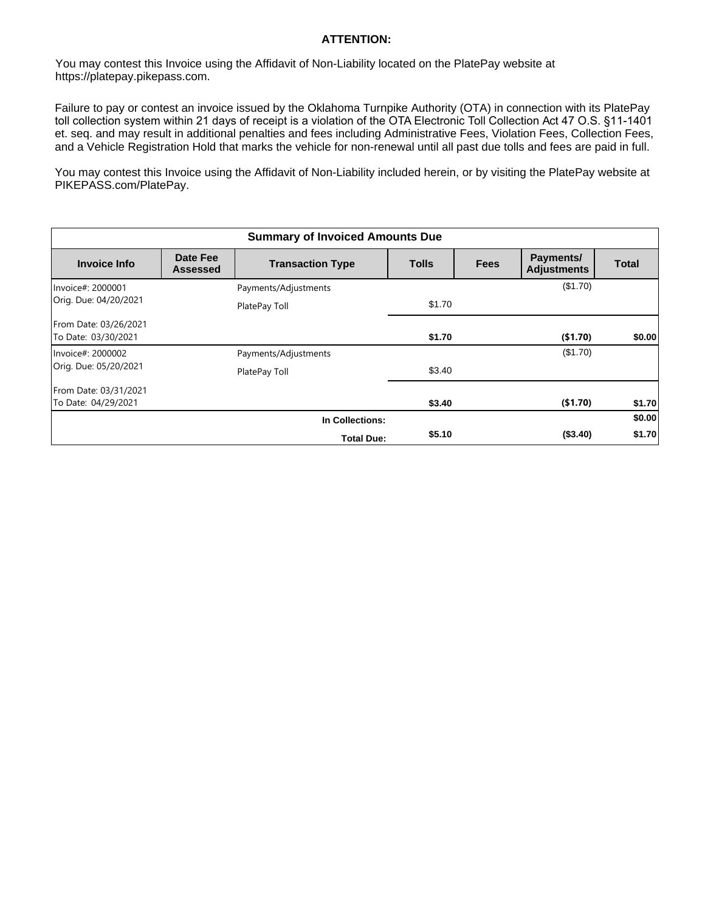## **ATTENTION:**

You may contest this Invoice using the Affidavit of Non-Liability located on the PlatePay website at https://platepay.pikepass.com.

Failure to pay or contest an invoice issued by the Oklahoma Turnpike Authority (OTA) in connection with its PlatePay toll collection system within 21 days of receipt is a violation of the OTA Electronic Toll Collection Act 47 O.S. §11-1401 et. seq. and may result in additional penalties and fees including Administrative Fees, Violation Fees, Collection Fees, and a Vehicle Registration Hold that marks the vehicle for non-renewal until all past due tolls and fees are paid in full.

You may contest this Invoice using the Affidavit of Non-Liability included herein, or by visiting the PlatePay website at PIKEPASS.com/PlatePay.

| <b>Summary of Invoiced Amounts Due</b>       |                             |                         |              |             |                                 |              |
|----------------------------------------------|-----------------------------|-------------------------|--------------|-------------|---------------------------------|--------------|
| <b>Invoice Info</b>                          | Date Fee<br><b>Assessed</b> | <b>Transaction Type</b> | <b>Tolls</b> | <b>Fees</b> | Payments/<br><b>Adjustments</b> | <b>Total</b> |
| Invoice#: 2000001<br>Orig. Due: 04/20/2021   |                             | Payments/Adjustments    |              |             | (\$1.70)                        |              |
|                                              |                             | PlatePay Toll           | \$1.70       |             |                                 |              |
| From Date: 03/26/2021<br>To Date: 03/30/2021 |                             |                         | \$1.70       |             | ( \$1.70)                       | \$0.00       |
| Invoice#: 2000002<br>Orig. Due: 05/20/2021   |                             | Payments/Adjustments    |              |             | (\$1.70)                        |              |
|                                              |                             | PlatePay Toll           | \$3.40       |             |                                 |              |
| From Date: 03/31/2021<br>To Date: 04/29/2021 |                             |                         | \$3.40       |             | (\$1.70)                        | \$1.70       |
| In Collections:                              |                             |                         |              | \$0.00      |                                 |              |
| \$5.10<br>(\$3.40)<br><b>Total Due:</b>      |                             |                         |              |             | \$1.70                          |              |